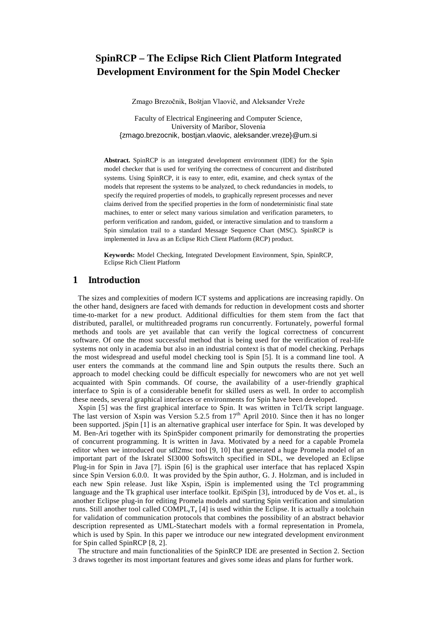# **SpinRCP – The Eclipse Rich Client Platform Integrated Development Environment for the Spin Model Checker**

Zmago Brezočnik, Boštjan Vlaovič, and Aleksander Vreže

Faculty of Electrical Engineering and Computer Science, University of Maribor, Slovenia {zmago.brezocnik, bostjan.vlaovic, aleksander.vreze}@um.si

**Abstract.** SpinRCP is an integrated development environment (IDE) for the Spin model checker that is used for verifying the correctness of concurrent and distributed systems. Using SpinRCP, it is easy to enter, edit, examine, and check syntax of the models that represent the systems to be analyzed, to check redundancies in models, to specify the required properties of models, to graphically represent processes and never claims derived from the specified properties in the form of nondeterministic final state machines, to enter or select many various simulation and verification parameters, to perform verification and random, guided, or interactive simulation and to transform a Spin simulation trail to a standard Message Sequence Chart (MSC). SpinRCP is implemented in Java as an Eclipse Rich Client Platform (RCP) product.

**Keywords:** Model Checking, Integrated Development Environment, Spin, SpinRCP, Eclipse Rich Client Platform

## **1 Introduction**

The sizes and complexities of modern ICT systems and applications are increasing rapidly. On the other hand, designers are faced with demands for reduction in development costs and shorter time-to-market for a new product. Additional difficulties for them stem from the fact that distributed, parallel, or multithreaded programs run concurrently. Fortunately, powerful formal methods and tools are yet available that can verify the logical correctness of concurrent software. Of one the most successful method that is being used for the verification of real-life systems not only in academia but also in an industrial context is that of model checking. Perhaps the most widespread and useful model checking tool is Spin [5]. It is a command line tool. A user enters the commands at the command line and Spin outputs the results there. Such an approach to model checking could be difficult especially for newcomers who are not yet well acquainted with Spin commands. Of course, the availability of a user-friendly graphical interface to Spin is of a considerable benefit for skilled users as well. In order to accomplish these needs, several graphical interfaces or environments for Spin have been developed.

Xspin [5] was the first graphical interface to Spin. It was written in Tcl/Tk script language. The last version of Xspin was Version  $5.2.5$  from  $17<sup>th</sup>$  April 2010. Since then it has no longer been supported. jSpin [1] is an alternative graphical user interface for Spin. It was developed by M. Ben-Ari together with its SpinSpider component primarily for demonstrating the properties of concurrent programming. It is written in Java. Motivated by a need for a capable Promela editor when we introduced our sdl2msc tool [9, 10] that generated a huge Promela model of an important part of the Iskratel SI3000 Softswitch specified in SDL, we developed an Eclipse Plug-in for Spin in Java [7]. iSpin [6] is the graphical user interface that has replaced Xspin since Spin Version 6.0.0. It was provided by the Spin author, G. J. Holzman, and is included in each new Spin release. Just like Xspin, iSpin is implemented using the Tcl programming language and the Tk graphical user interface toolkit. EpiSpin [3], introduced by de Vos et. al., is another Eclipse plug-in for editing Promela models and starting Spin verification and simulation runs. Still another tool called  $COMPL<sub>e</sub>T<sub>e</sub>$  [4] is used within the Eclipse. It is actually a toolchain for validation of communication protocols that combines the possibility of an abstract behavior description represented as UML-Statechart models with a formal representation in Promela, which is used by Spin. In this paper we introduce our new integrated development environment for Spin called SpinRCP [8, 2].

The structure and main functionalities of the SpinRCP IDE are presented in Section 2. Section 3 draws together its most important features and gives some ideas and plans for further work.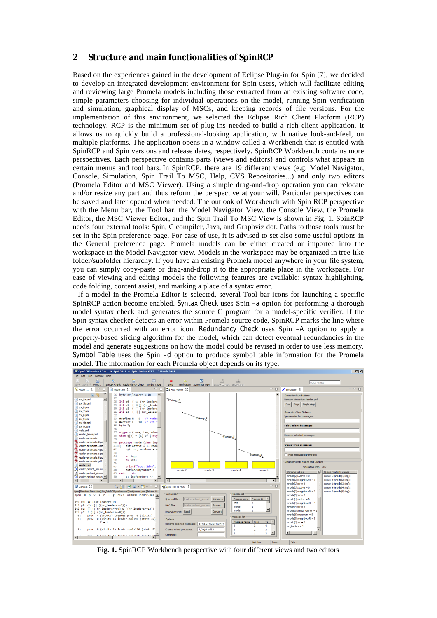# **2 Structure and main functionalities of SpinRCP**

Based on the experiences gained in the development of Eclipse Plug-in for Spin [7], we decided to develop an integrated development environment for Spin users, which will facilitate editing and reviewing large Promela models including those extracted from an existing software code, simple parameters choosing for individual operations on the model, running Spin verification and simulation, graphical display of MSCs, and keeping records of file versions. For the implementation of this environment, we selected the Eclipse Rich Client Platform (RCP) technology. RCP is the minimum set of plug-ins needed to build a rich client application. It allows us to quickly build a professional-looking application, with native look-and-feel, on multiple platforms. The application opens in a window called a Workbench that is entitled with SpinRCP and Spin versions and release dates, respectively. SpinRCP Workbench contains more perspectives. Each perspective contains parts (views and editors) and controls what appears in certain menus and tool bars. In SpinRCP, there are 19 different views (e.g. Model Navigator, Console, Simulation, Spin Trail To MSC, Help, CVS Repositories...) and only two editors (Promela Editor and MSC Viewer). Using a simple drag-and-drop operation you can relocate and/or resize any part and thus reform the perspective at your will. Particular perspectives can be saved and later opened when needed. The outlook of Workbench with Spin RCP perspective with the Menu bar, the Tool bar, the Model Navigator View, the Console View, the Promela Editor, the MSC Viewer Editor, and the Spin Trail To MSC View is shown in Fig. 1. SpinRCP needs four external tools: Spin, C compiler, Java, and Graphviz dot. Paths to those tools must be set in the Spin preference page. For ease of use, it is advised to set also some useful options in the General preference page. Promela models can be either created or imported into the workspace in the Model Navigator view. Models in the workspace may be organized in tree-like folder/subfolder hierarchy. If you have an existing Promela model anywhere in your file system, you can simply copy-paste or drag-and-drop it to the appropriate place in the workspace. For ease of viewing and editing models the following features are available: syntax highlighting, code folding, content assist, and marking a place of a syntax error.

If a model in the Promela Editor is selected, several Tool bar icons for launching a specific SpinRCP action become enabled. Syntax Check uses Spin –a option for performing a thorough model syntax check and generates the source C program for a model-specific verifier. If the Spin syntax checker detects an error within Promela source code, SpinRCP marks the line where the error occurred with an error icon. Redundancy Check uses Spin –A option to apply a property-based slicing algorithm for the model, which can detect eventual redundancies in the model and generate suggestions on how the model could be revised in order to use less memory. Symbol Table uses the Spin –d option to produce symbol table information for the Promela model. The information for each Promela object depends on its type.<br> $\beta$ <sup>5</sup> SpinRCP Version 2.20 -- 16 April 2014 = Spin Version 6.27 -- 2 March 2014



**Fig. 1.** SpinRCP Workbench perspective with four different views and two editors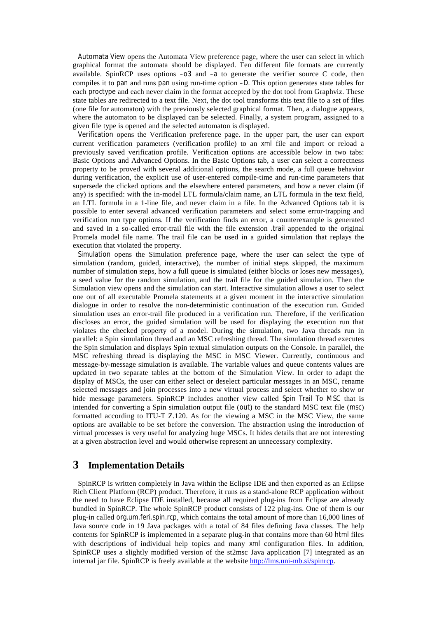Automata View opens the Automata View preference page, where the user can select in which graphical format the automata should be displayed. Ten different file formats are currently available. SpinRCP uses options  $-03$  and  $-a$  to generate the verifier source C code, then compiles it to pan and runs pan using run-time option –D. This option generates state tables for each proctype and each never claim in the format accepted by the dot tool from Graphviz. These state tables are redirected to a text file. Next, the dot tool transforms this text file to a set of files (one file for automaton) with the previously selected graphical format. Then, a dialogue appears, where the automaton to be displayed can be selected. Finally, a system program, assigned to a given file type is opened and the selected automaton is displayed.

Verification opens the Verification preference page. In the upper part, the user can export current verification parameters (verification profile) to an xml file and import or reload a previously saved verification profile. Verification options are accessible below in two tabs: Basic Options and Advanced Options. In the Basic Options tab, a user can select a correctness property to be proved with several additional options, the search mode, a full queue behavior during verification, the explicit use of user-entered compile-time and run-time parameters that supersede the clicked options and the elsewhere entered parameters, and how a never claim (if any) is specified: with the in-model LTL formula/claim name, an LTL formula in the text field, an LTL formula in a 1-line file, and never claim in a file. In the Advanced Options tab it is possible to enter several advanced verification parameters and select some error-trapping and verification run type options. If the verification finds an error, a counterexample is generated and saved in a so-called error-trail file with the file extension .trail appended to the original Promela model file name. The trail file can be used in a guided simulation that replays the execution that violated the property.

Simulation opens the Simulation preference page, where the user can select the type of simulation (random, guided, interactive), the number of initial steps skipped, the maximum number of simulation steps, how a full queue is simulated (either blocks or loses new messages), a seed value for the random simulation, and the trail file for the guided simulation. Then the Simulation view opens and the simulation can start. Interactive simulation allows a user to select one out of all executable Promela statements at a given moment in the interactive simulation dialogue in order to resolve the non-deterministic continuation of the execution run. Guided simulation uses an error-trail file produced in a verification run. Therefore, if the verification discloses an error, the guided simulation will be used for displaying the execution run that violates the checked property of a model. During the simulation, two Java threads run in parallel: a Spin simulation thread and an MSC refreshing thread. The simulation thread executes the Spin simulation and displays Spin textual simulation outputs on the Console. In parallel, the MSC refreshing thread is displaying the MSC in MSC Viewer. Currently, continuous and message-by-message simulation is available. The variable values and queue contents values are updated in two separate tables at the bottom of the Simulation View. In order to adapt the display of MSCs, the user can either select or deselect particular messages in an MSC, rename selected messages and join processes into a new virtual process and select whether to show or hide message parameters. SpinRCP includes another view called Spin Trail To MSC that is intended for converting a Spin simulation output file (out) to the standard MSC text file (msc) formatted according to ITU-T Z.120. As for the viewing a MSC in the MSC View, the same options are available to be set before the conversion. The abstraction using the introduction of virtual processes is very useful for analyzing huge MSCs. It hides details that are not interesting at a given abstraction level and would otherwise represent an unnecessary complexity.

# **3 Implementation Details**

SpinRCP is written completely in Java within the Eclipse IDE and then exported as an Eclipse Rich Client Platform (RCP) product. Therefore, it runs as a stand-alone RCP application without the need to have Eclipse IDE installed, because all required plug-ins from Eclipse are already bundled in SpinRCP. The whole SpinRCP product consists of 122 plug-ins. One of them is our plug-in called org.um.feri.spin.rcp, which contains the total amount of more than 16,000 lines of Java source code in 19 Java packages with a total of 84 files defining Java classes. The help contents for SpinRCP is implemented in a separate plug-in that contains more than 60 html files with descriptions of individual help topics and many  $x$ ml configuration files. In addition, SpinRCP uses a slightly modified version of the st2msc Java application [7] integrated as an internal jar file. SpinRCP is freely available at the website [http://lms.uni-mb.si/spinrcp.](http://lms.uni-mb.si/spinrcp)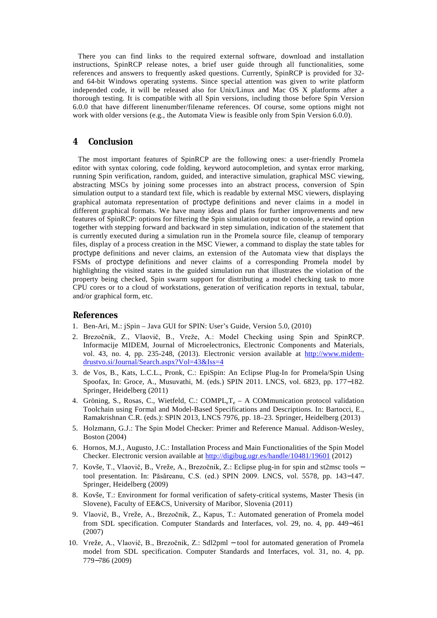There you can find links to the required external software, download and installation instructions, SpinRCP release notes, a brief user guide through all functionalities, some references and answers to frequently asked questions. Currently, SpinRCP is provided for 32 and 64-bit Windows operating systems. Since special attention was given to write platform independed code, it will be released also for Unix/Linux and Mac OS X platforms after a thorough testing. It is compatible with all Spin versions, including those before Spin Version 6.0.0 that have different linenumber/filename references. Of course, some options might not work with older versions (e.g., the Automata View is feasible only from Spin Version 6.0.0).

# **4 Conclusion**

The most important features of SpinRCP are the following ones: a user-friendly Promela editor with syntax coloring, code folding, keyword autocompletion, and syntax error marking, running Spin verification, random, guided, and interactive simulation, graphical MSC viewing, abstracting MSCs by joining some processes into an abstract process, conversion of Spin simulation output to a standard text file, which is readable by external MSC viewers, displaying graphical automata representation of proctype definitions and never claims in a model in different graphical formats. We have many ideas and plans for further improvements and new features of SpinRCP: options for filtering the Spin simulation output to console, a rewind option together with stepping forward and backward in step simulation, indication of the statement that is currently executed during a simulation run in the Promela source file, cleanup of temporary files, display of a process creation in the MSC Viewer, a command to display the state tables for proctype definitions and never claims, an extension of the Automata view that displays the FSMs of proctype definitions and never claims of a corresponding Promela model by highlighting the visited states in the guided simulation run that illustrates the violation of the property being checked, Spin swarm support for distributing a model checking task to more CPU cores or to a cloud of workstations, generation of verification reports in textual, tabular, and/or graphical form, etc.

#### **References**

- 1. Ben-Ari, M.: jSpin Java GUI for SPIN: User's Guide, Version 5.0, (2010)
- 2. Brezočnik, Z., Vlaovič, B., Vreže, A.: Model Checking using Spin and SpinRCP. Informacije MIDEM, Journal of Microelectronics, Electronic Components and Materials, vol. 43, no. 4, pp. 235-248, (2013). Electronic version available at [http://www.midem](http://www.midem-drustvo.si/Journal/Search.aspx?Vol=43&Iss=4)[drustvo.si/Journal/Search.aspx?Vol=43&Iss=4](http://www.midem-drustvo.si/Journal/Search.aspx?Vol=43&Iss=4)
- 3. de Vos, B., Kats, L.C.L., Pronk, C.: EpiSpin: An Eclipse Plug-In for Promela/Spin Using Spoofax, In: Groce, A., Musuvathi, M. (eds.) SPIN 2011. LNCS, vol. 6823, pp. 177 182. Springer, Heidelberg (2011)
- 4. Gröning, S., Rosas, C., Wietfeld, C.:  $COMPL<sub>e</sub>T<sub>e</sub> A COMmunication protocol validation$ Toolchain using Formal and Model-Based Specifications and Descriptions. In: Bartocci, E., Ramakrishnan C.R. (eds.): SPIN 2013, LNCS 7976, pp. 18–23. Springer, Heidelberg (2013)
- 5. Holzmann, G.J.: The Spin Model Checker: Primer and Reference Manual. Addison-Wesley, Boston (2004)
- 6. Hornos, M.J., Augusto, J.C.: Installation Process and Main Functionalities of the Spin Model Checker. Electronic version available a[t http://digibug.ugr.es/handle/10481/19601](http://digibug.ugr.es/handle/10481/19601) (2012)
- 7. Kovše, T., Vlaovič, B., Vreže, A., Brezočnik, Z.: Eclipse plug-in for spin and st2msc tools tool presentation. In: Păsăreanu, C.S. (ed.) SPIN 2009. LNCS, vol. 5578, pp. 143 147. Springer, Heidelberg (2009)
- 8. Kovše, T.: Environment for formal verification of safety-critical systems, Master Thesis (in Slovene), Faculty of EE&CS, University of Maribor, Slovenia (2011)
- 9. Vlaovič, B., Vreže, A., Brezočnik, Z., Kapus, T.: Automated generation of Promela model from SDL specification. Computer Standards and Interfaces, vol. 29, no. 4, pp. 449 461 (2007)
- 10. Vreže, A., Vlaovič, B., Brezočnik, Z.: Sdl2pml tool for automated generation of Promela model from SDL specification. Computer Standards and Interfaces, vol. 31, no. 4, pp. 779 786 (2009)